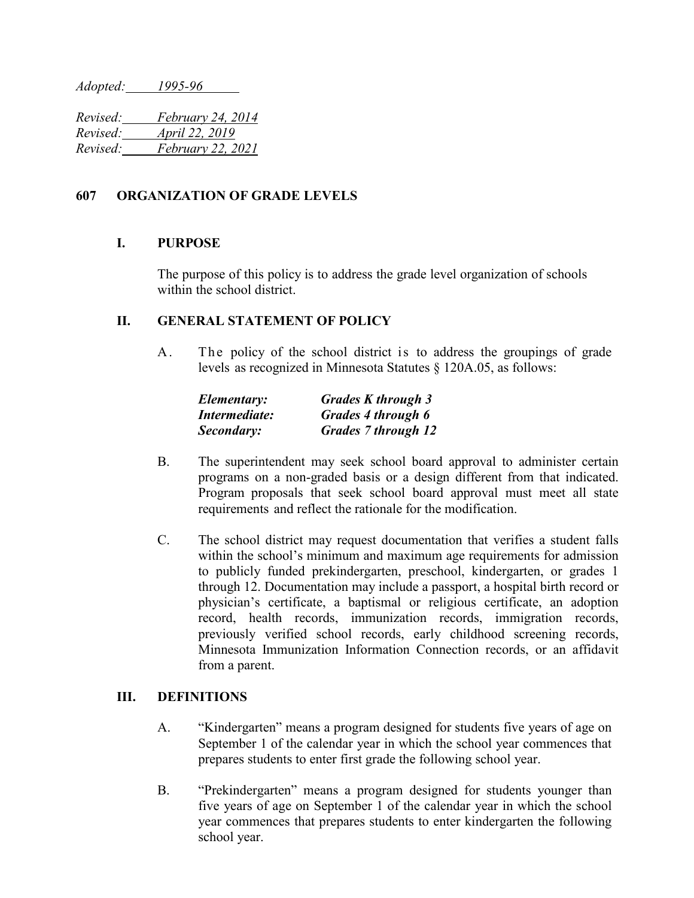*Adopted: 1995-96* 

*Revised: February 24, 2014 Revised: April 22, 2019 Revised: February 22, 2021*

## **607 ORGANIZATION OF GRADE LEVELS**

## **I. PURPOSE**

The purpose of this policy is to address the grade level organization of schools within the school district.

## **II. GENERAL STATEMENT OF POLICY**

A. The policy of the school district is to address the groupings of grade levels as recognized in Minnesota Statutes § 120A.05, as follows:

| Elementary:   | <b>Grades K</b> through 3  |
|---------------|----------------------------|
| Intermediate: | Grades 4 through 6         |
| Secondary:    | <b>Grades 7 through 12</b> |

- B. The superintendent may seek school board approval to administer certain programs on a non-graded basis or a design different from that indicated. Program proposals that seek school board approval must meet all state requirements and reflect the rationale for the modification.
- C. The school district may request documentation that verifies a student falls within the school's minimum and maximum age requirements for admission to publicly funded prekindergarten, preschool, kindergarten, or grades 1 through 12. Documentation may include a passport, a hospital birth record or physician's certificate, a baptismal or religious certificate, an adoption record, health records, immunization records, immigration records, previously verified school records, early childhood screening records, Minnesota Immunization Information Connection records, or an affidavit from a parent.

## **III. DEFINITIONS**

- A. "Kindergarten" means a program designed for students five years of age on September 1 of the calendar year in which the school year commences that prepares students to enter first grade the following school year.
- B. "Prekindergarten" means a program designed for students younger than five years of age on September 1 of the calendar year in which the school year commences that prepares students to enter kindergarten the following school year.